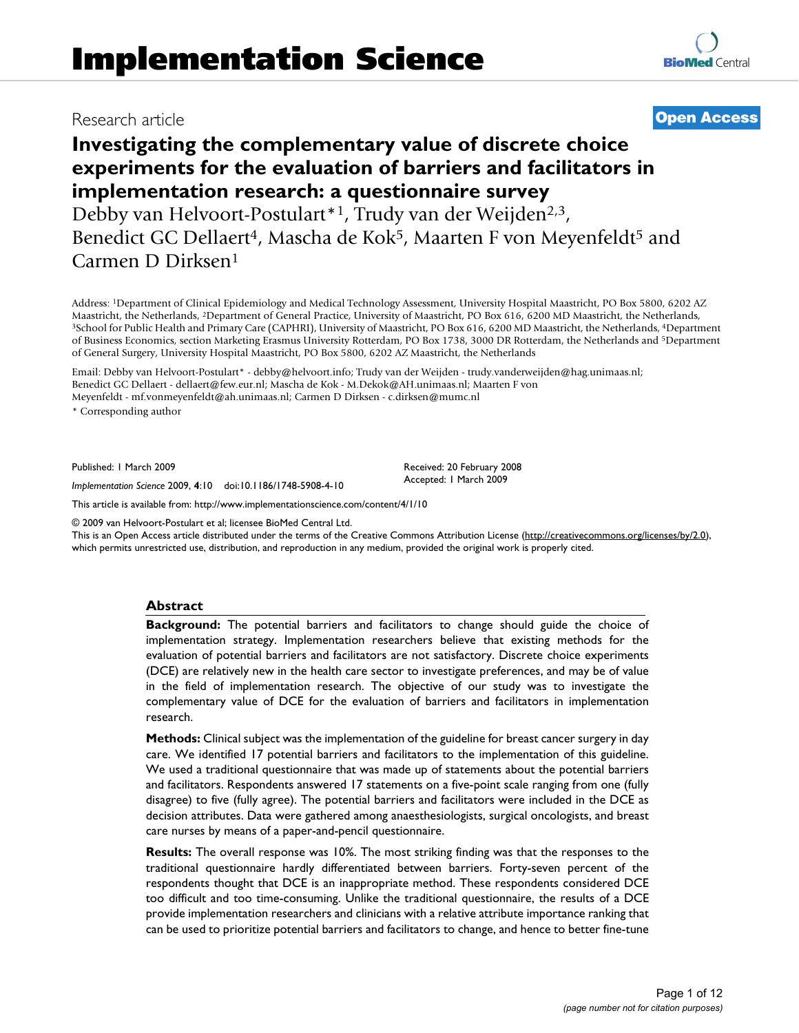# **Investigating the complementary value of discrete choice experiments for the evaluation of barriers and facilitators in implementation research: a questionnaire survey**

Debby van Helvoort-Postulart<sup>\*1</sup>, Trudy van der Weijden<sup>2,3</sup>, Benedict GC Dellaert<sup>4</sup>, Mascha de Kok<sup>5</sup>, Maarten F von Meyenfeldt<sup>5</sup> and Carmen D Dirksen1

Address: 1Department of Clinical Epidemiology and Medical Technology Assessment, University Hospital Maastricht, PO Box 5800, 6202 AZ Maastricht, the Netherlands, <sup>2</sup>Department of General Practice, University of Maastricht, PO Box 616, 6200 MD Maastricht, the Netherlands, <sup>3</sup>School for Public Health and Primary Care (CAPHRI), University of Maastricht, PO of Business Economics, section Marketing Erasmus University Rotterdam, PO Box 1738, 3000 DR Rotterdam, the Netherlands and 5Department of General Surgery, University Hospital Maastricht, PO Box 5800, 6202 AZ Maastricht, the Netherlands

Email: Debby van Helvoort-Postulart\* - debby@helvoort.info; Trudy van der Weijden - trudy.vanderweijden@hag.unimaas.nl; Benedict GC Dellaert - dellaert@few.eur.nl; Mascha de Kok - M.Dekok@AH.unimaas.nl; Maarten F von Meyenfeldt - mf.vonmeyenfeldt@ah.unimaas.nl; Carmen D Dirksen - c.dirksen@mumc.nl

\* Corresponding author

Published: 1 March 2009

*Implementation Science* 2009, **4**:10 doi:10.1186/1748-5908-4-10

[This article is available from: http://www.implementationscience.com/content/4/1/10](http://www.implementationscience.com/content/4/1/10)

© 2009 van Helvoort-Postulart et al; licensee BioMed Central Ltd.

This is an Open Access article distributed under the terms of the Creative Commons Attribution License [\(http://creativecommons.org/licenses/by/2.0\)](http://creativecommons.org/licenses/by/2.0), which permits unrestricted use, distribution, and reproduction in any medium, provided the original work is properly cited.

Received: 20 February 2008 Accepted: 1 March 2009

### **Abstract**

**Background:** The potential barriers and facilitators to change should guide the choice of implementation strategy. Implementation researchers believe that existing methods for the evaluation of potential barriers and facilitators are not satisfactory. Discrete choice experiments (DCE) are relatively new in the health care sector to investigate preferences, and may be of value in the field of implementation research. The objective of our study was to investigate the complementary value of DCE for the evaluation of barriers and facilitators in implementation research.

**Methods:** Clinical subject was the implementation of the guideline for breast cancer surgery in day care. We identified 17 potential barriers and facilitators to the implementation of this guideline. We used a traditional questionnaire that was made up of statements about the potential barriers and facilitators. Respondents answered 17 statements on a five-point scale ranging from one (fully disagree) to five (fully agree). The potential barriers and facilitators were included in the DCE as decision attributes. Data were gathered among anaesthesiologists, surgical oncologists, and breast care nurses by means of a paper-and-pencil questionnaire.

**Results:** The overall response was 10%. The most striking finding was that the responses to the traditional questionnaire hardly differentiated between barriers. Forty-seven percent of the respondents thought that DCE is an inappropriate method. These respondents considered DCE too difficult and too time-consuming. Unlike the traditional questionnaire, the results of a DCE provide implementation researchers and clinicians with a relative attribute importance ranking that can be used to prioritize potential barriers and facilitators to change, and hence to better fine-tune

Research article **[Open Access](http://www.biomedcentral.com/info/about/charter/)**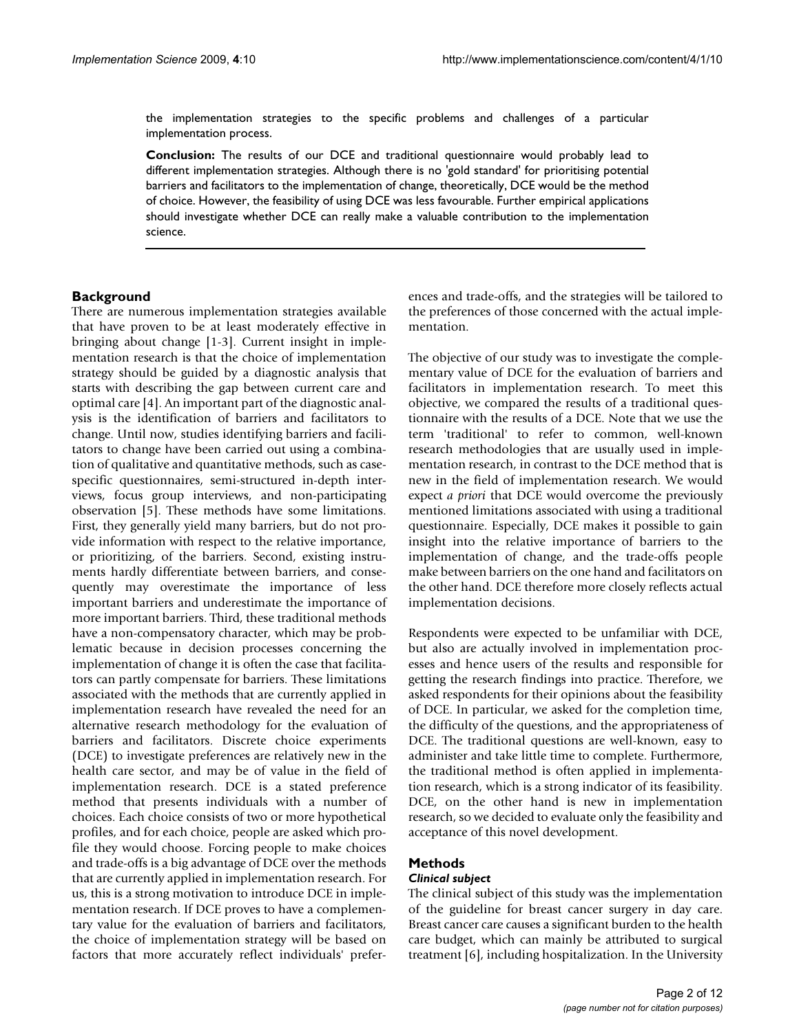the implementation strategies to the specific problems and challenges of a particular implementation process.

**Conclusion:** The results of our DCE and traditional questionnaire would probably lead to different implementation strategies. Although there is no 'gold standard' for prioritising potential barriers and facilitators to the implementation of change, theoretically, DCE would be the method of choice. However, the feasibility of using DCE was less favourable. Further empirical applications should investigate whether DCE can really make a valuable contribution to the implementation science.

### **Background**

There are numerous implementation strategies available that have proven to be at least moderately effective in bringing about change [1-3]. Current insight in implementation research is that the choice of implementation strategy should be guided by a diagnostic analysis that starts with describing the gap between current care and optimal care [4]. An important part of the diagnostic analysis is the identification of barriers and facilitators to change. Until now, studies identifying barriers and facilitators to change have been carried out using a combination of qualitative and quantitative methods, such as casespecific questionnaires, semi-structured in-depth interviews, focus group interviews, and non-participating observation [5]. These methods have some limitations. First, they generally yield many barriers, but do not provide information with respect to the relative importance, or prioritizing, of the barriers. Second, existing instruments hardly differentiate between barriers, and consequently may overestimate the importance of less important barriers and underestimate the importance of more important barriers. Third, these traditional methods have a non-compensatory character, which may be problematic because in decision processes concerning the implementation of change it is often the case that facilitators can partly compensate for barriers. These limitations associated with the methods that are currently applied in implementation research have revealed the need for an alternative research methodology for the evaluation of barriers and facilitators. Discrete choice experiments (DCE) to investigate preferences are relatively new in the health care sector, and may be of value in the field of implementation research. DCE is a stated preference method that presents individuals with a number of choices. Each choice consists of two or more hypothetical profiles, and for each choice, people are asked which profile they would choose. Forcing people to make choices and trade-offs is a big advantage of DCE over the methods that are currently applied in implementation research. For us, this is a strong motivation to introduce DCE in implementation research. If DCE proves to have a complementary value for the evaluation of barriers and facilitators, the choice of implementation strategy will be based on factors that more accurately reflect individuals' preferences and trade-offs, and the strategies will be tailored to the preferences of those concerned with the actual implementation.

The objective of our study was to investigate the complementary value of DCE for the evaluation of barriers and facilitators in implementation research. To meet this objective, we compared the results of a traditional questionnaire with the results of a DCE. Note that we use the term 'traditional' to refer to common, well-known research methodologies that are usually used in implementation research, in contrast to the DCE method that is new in the field of implementation research. We would expect *a priori* that DCE would overcome the previously mentioned limitations associated with using a traditional questionnaire. Especially, DCE makes it possible to gain insight into the relative importance of barriers to the implementation of change, and the trade-offs people make between barriers on the one hand and facilitators on the other hand. DCE therefore more closely reflects actual implementation decisions.

Respondents were expected to be unfamiliar with DCE, but also are actually involved in implementation processes and hence users of the results and responsible for getting the research findings into practice. Therefore, we asked respondents for their opinions about the feasibility of DCE. In particular, we asked for the completion time, the difficulty of the questions, and the appropriateness of DCE. The traditional questions are well-known, easy to administer and take little time to complete. Furthermore, the traditional method is often applied in implementation research, which is a strong indicator of its feasibility. DCE, on the other hand is new in implementation research, so we decided to evaluate only the feasibility and acceptance of this novel development.

## **Methods**

## *Clinical subject*

The clinical subject of this study was the implementation of the guideline for breast cancer surgery in day care. Breast cancer care causes a significant burden to the health care budget, which can mainly be attributed to surgical treatment [6], including hospitalization. In the University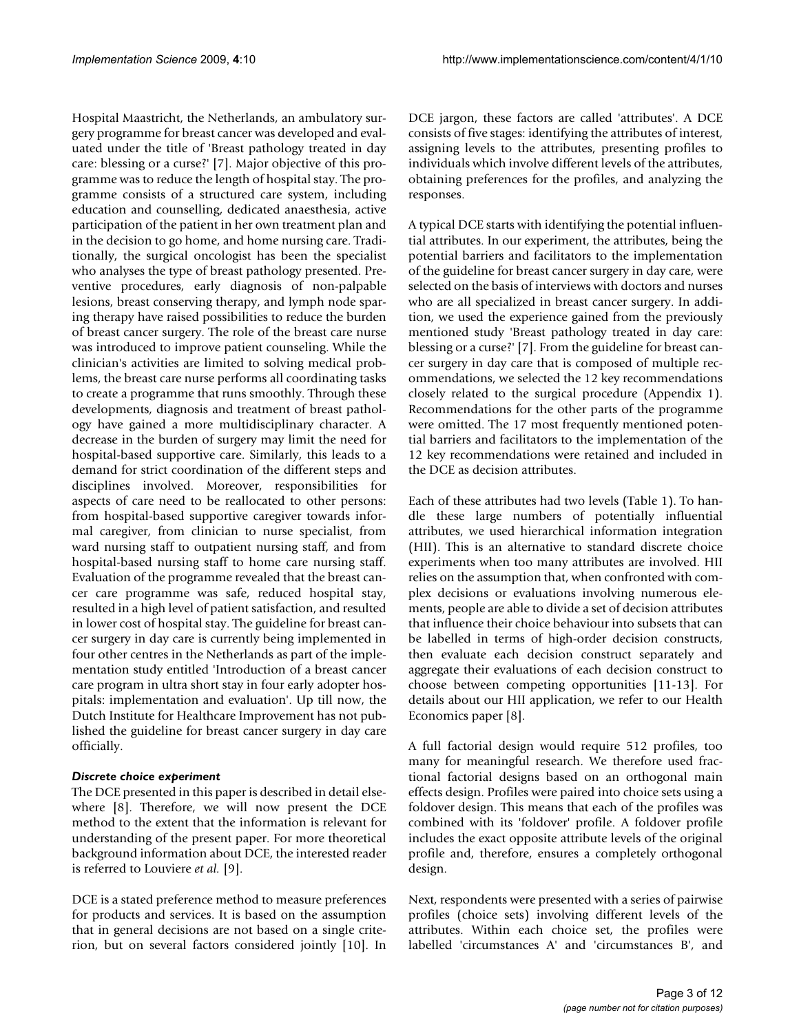Hospital Maastricht, the Netherlands, an ambulatory surgery programme for breast cancer was developed and evaluated under the title of 'Breast pathology treated in day care: blessing or a curse?' [7]. Major objective of this programme was to reduce the length of hospital stay. The programme consists of a structured care system, including education and counselling, dedicated anaesthesia, active participation of the patient in her own treatment plan and in the decision to go home, and home nursing care. Traditionally, the surgical oncologist has been the specialist who analyses the type of breast pathology presented. Preventive procedures, early diagnosis of non-palpable lesions, breast conserving therapy, and lymph node sparing therapy have raised possibilities to reduce the burden of breast cancer surgery. The role of the breast care nurse was introduced to improve patient counseling. While the clinician's activities are limited to solving medical problems, the breast care nurse performs all coordinating tasks to create a programme that runs smoothly. Through these developments, diagnosis and treatment of breast pathology have gained a more multidisciplinary character. A decrease in the burden of surgery may limit the need for hospital-based supportive care. Similarly, this leads to a demand for strict coordination of the different steps and disciplines involved. Moreover, responsibilities for aspects of care need to be reallocated to other persons: from hospital-based supportive caregiver towards informal caregiver, from clinician to nurse specialist, from ward nursing staff to outpatient nursing staff, and from hospital-based nursing staff to home care nursing staff. Evaluation of the programme revealed that the breast cancer care programme was safe, reduced hospital stay, resulted in a high level of patient satisfaction, and resulted in lower cost of hospital stay. The guideline for breast cancer surgery in day care is currently being implemented in four other centres in the Netherlands as part of the implementation study entitled 'Introduction of a breast cancer care program in ultra short stay in four early adopter hospitals: implementation and evaluation'. Up till now, the Dutch Institute for Healthcare Improvement has not published the guideline for breast cancer surgery in day care officially.

### *Discrete choice experiment*

The DCE presented in this paper is described in detail elsewhere [8]. Therefore, we will now present the DCE method to the extent that the information is relevant for understanding of the present paper. For more theoretical background information about DCE, the interested reader is referred to Louviere *et al.* [9].

DCE is a stated preference method to measure preferences for products and services. It is based on the assumption that in general decisions are not based on a single criterion, but on several factors considered jointly [10]. In DCE jargon, these factors are called 'attributes'. A DCE consists of five stages: identifying the attributes of interest, assigning levels to the attributes, presenting profiles to individuals which involve different levels of the attributes, obtaining preferences for the profiles, and analyzing the responses.

A typical DCE starts with identifying the potential influential attributes. In our experiment, the attributes, being the potential barriers and facilitators to the implementation of the guideline for breast cancer surgery in day care, were selected on the basis of interviews with doctors and nurses who are all specialized in breast cancer surgery. In addition, we used the experience gained from the previously mentioned study 'Breast pathology treated in day care: blessing or a curse?' [7]. From the guideline for breast cancer surgery in day care that is composed of multiple recommendations, we selected the 12 key recommendations closely related to the surgical procedure (Appendix 1). Recommendations for the other parts of the programme were omitted. The 17 most frequently mentioned potential barriers and facilitators to the implementation of the 12 key recommendations were retained and included in the DCE as decision attributes.

Each of these attributes had two levels (Table 1). To handle these large numbers of potentially influential attributes, we used hierarchical information integration (HII). This is an alternative to standard discrete choice experiments when too many attributes are involved. HII relies on the assumption that, when confronted with complex decisions or evaluations involving numerous elements, people are able to divide a set of decision attributes that influence their choice behaviour into subsets that can be labelled in terms of high-order decision constructs, then evaluate each decision construct separately and aggregate their evaluations of each decision construct to choose between competing opportunities [11-13]. For details about our HII application, we refer to our Health Economics paper [8].

A full factorial design would require 512 profiles, too many for meaningful research. We therefore used fractional factorial designs based on an orthogonal main effects design. Profiles were paired into choice sets using a foldover design. This means that each of the profiles was combined with its 'foldover' profile. A foldover profile includes the exact opposite attribute levels of the original profile and, therefore, ensures a completely orthogonal design.

Next, respondents were presented with a series of pairwise profiles (choice sets) involving different levels of the attributes. Within each choice set, the profiles were labelled 'circumstances A' and 'circumstances B', and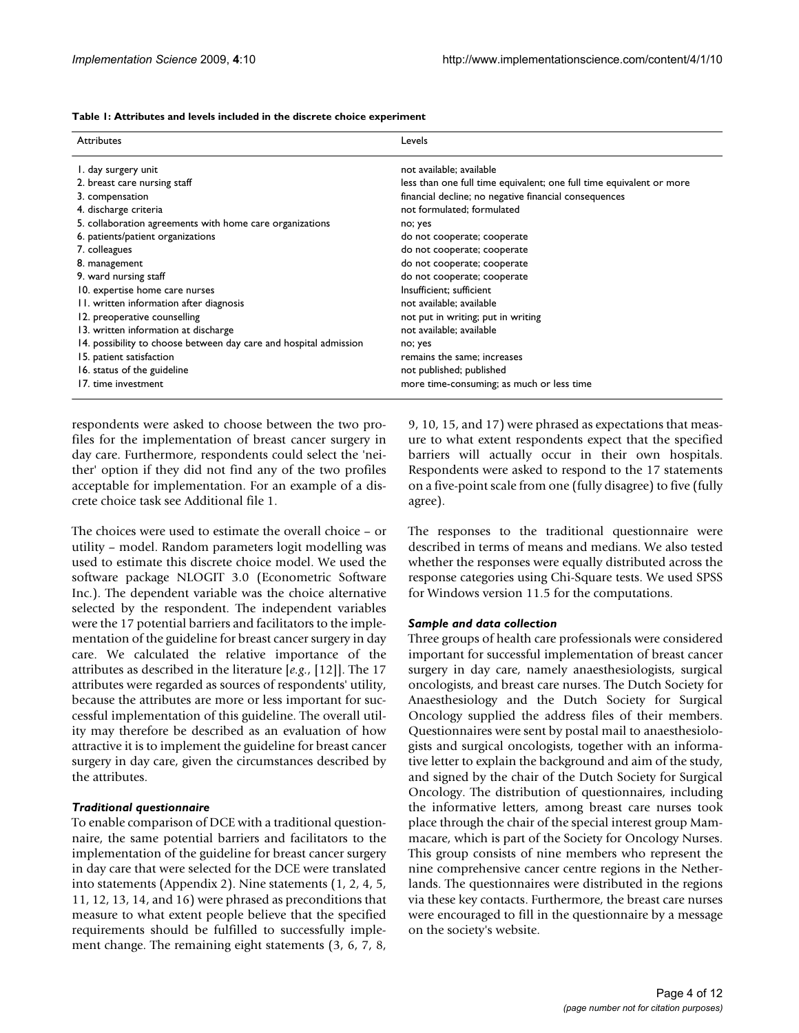| Table 1: Attributes and levels included in the discrete choice experiment |  |
|---------------------------------------------------------------------------|--|
|---------------------------------------------------------------------------|--|

| <b>Attributes</b>                                                 | Levels                                                               |
|-------------------------------------------------------------------|----------------------------------------------------------------------|
| I. day surgery unit                                               | not available; available                                             |
| 2. breast care nursing staff                                      | less than one full time equivalent; one full time equivalent or more |
| 3. compensation                                                   | financial decline; no negative financial consequences                |
| 4. discharge criteria                                             | not formulated: formulated                                           |
| 5. collaboration agreements with home care organizations          | no; yes                                                              |
| 6. patients/patient organizations                                 | do not cooperate; cooperate                                          |
| 7. colleagues                                                     | do not cooperate; cooperate                                          |
| 8. management                                                     | do not cooperate; cooperate                                          |
| 9. ward nursing staff                                             | do not cooperate; cooperate                                          |
| 10. expertise home care nurses                                    | Insufficient; sufficient                                             |
| 11. written information after diagnosis                           | not available; available                                             |
| 12. preoperative counselling                                      | not put in writing; put in writing                                   |
| 13. written information at discharge                              | not available; available                                             |
| 14. possibility to choose between day care and hospital admission | no; yes                                                              |
| 15. patient satisfaction                                          | remains the same; increases                                          |
| 16. status of the guideline                                       | not published; published                                             |
| 17. time investment                                               | more time-consuming; as much or less time                            |

respondents were asked to choose between the two profiles for the implementation of breast cancer surgery in day care. Furthermore, respondents could select the 'neither' option if they did not find any of the two profiles acceptable for implementation. For an example of a discrete choice task see Additional file 1.

The choices were used to estimate the overall choice – or utility – model. Random parameters logit modelling was used to estimate this discrete choice model. We used the software package NLOGIT 3.0 (Econometric Software Inc.). The dependent variable was the choice alternative selected by the respondent. The independent variables were the 17 potential barriers and facilitators to the implementation of the guideline for breast cancer surgery in day care. We calculated the relative importance of the attributes as described in the literature [*e.g.*, [12]]. The 17 attributes were regarded as sources of respondents' utility, because the attributes are more or less important for successful implementation of this guideline. The overall utility may therefore be described as an evaluation of how attractive it is to implement the guideline for breast cancer surgery in day care, given the circumstances described by the attributes.

### *Traditional questionnaire*

To enable comparison of DCE with a traditional questionnaire, the same potential barriers and facilitators to the implementation of the guideline for breast cancer surgery in day care that were selected for the DCE were translated into statements (Appendix 2). Nine statements (1, 2, 4, 5, 11, 12, 13, 14, and 16) were phrased as preconditions that measure to what extent people believe that the specified requirements should be fulfilled to successfully implement change. The remaining eight statements (3, 6, 7, 8,

9, 10, 15, and 17) were phrased as expectations that measure to what extent respondents expect that the specified barriers will actually occur in their own hospitals. Respondents were asked to respond to the 17 statements on a five-point scale from one (fully disagree) to five (fully agree).

The responses to the traditional questionnaire were described in terms of means and medians. We also tested whether the responses were equally distributed across the response categories using Chi-Square tests. We used SPSS for Windows version 11.5 for the computations.

### *Sample and data collection*

Three groups of health care professionals were considered important for successful implementation of breast cancer surgery in day care, namely anaesthesiologists, surgical oncologists, and breast care nurses. The Dutch Society for Anaesthesiology and the Dutch Society for Surgical Oncology supplied the address files of their members. Questionnaires were sent by postal mail to anaesthesiologists and surgical oncologists, together with an informative letter to explain the background and aim of the study, and signed by the chair of the Dutch Society for Surgical Oncology. The distribution of questionnaires, including the informative letters, among breast care nurses took place through the chair of the special interest group Mammacare, which is part of the Society for Oncology Nurses. This group consists of nine members who represent the nine comprehensive cancer centre regions in the Netherlands. The questionnaires were distributed in the regions via these key contacts. Furthermore, the breast care nurses were encouraged to fill in the questionnaire by a message on the society's website.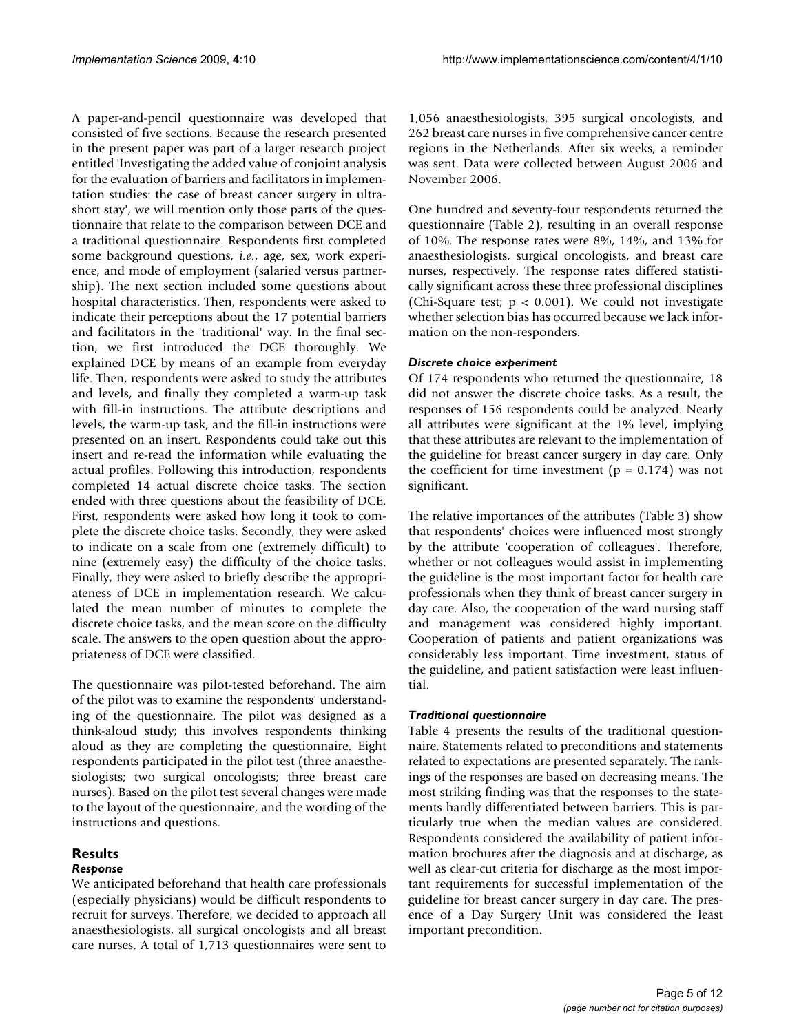A paper-and-pencil questionnaire was developed that consisted of five sections. Because the research presented in the present paper was part of a larger research project entitled 'Investigating the added value of conjoint analysis for the evaluation of barriers and facilitators in implementation studies: the case of breast cancer surgery in ultrashort stay', we will mention only those parts of the questionnaire that relate to the comparison between DCE and a traditional questionnaire. Respondents first completed some background questions, *i.e.*, age, sex, work experience, and mode of employment (salaried versus partnership). The next section included some questions about hospital characteristics. Then, respondents were asked to indicate their perceptions about the 17 potential barriers and facilitators in the 'traditional' way. In the final section, we first introduced the DCE thoroughly. We explained DCE by means of an example from everyday life. Then, respondents were asked to study the attributes and levels, and finally they completed a warm-up task with fill-in instructions. The attribute descriptions and levels, the warm-up task, and the fill-in instructions were presented on an insert. Respondents could take out this insert and re-read the information while evaluating the actual profiles. Following this introduction, respondents completed 14 actual discrete choice tasks. The section ended with three questions about the feasibility of DCE. First, respondents were asked how long it took to complete the discrete choice tasks. Secondly, they were asked to indicate on a scale from one (extremely difficult) to nine (extremely easy) the difficulty of the choice tasks. Finally, they were asked to briefly describe the appropriateness of DCE in implementation research. We calculated the mean number of minutes to complete the discrete choice tasks, and the mean score on the difficulty scale. The answers to the open question about the appropriateness of DCE were classified.

The questionnaire was pilot-tested beforehand. The aim of the pilot was to examine the respondents' understanding of the questionnaire. The pilot was designed as a think-aloud study; this involves respondents thinking aloud as they are completing the questionnaire. Eight respondents participated in the pilot test (three anaesthesiologists; two surgical oncologists; three breast care nurses). Based on the pilot test several changes were made to the layout of the questionnaire, and the wording of the instructions and questions.

## **Results**

## *Response*

We anticipated beforehand that health care professionals (especially physicians) would be difficult respondents to recruit for surveys. Therefore, we decided to approach all anaesthesiologists, all surgical oncologists and all breast care nurses. A total of 1,713 questionnaires were sent to

1,056 anaesthesiologists, 395 surgical oncologists, and 262 breast care nurses in five comprehensive cancer centre regions in the Netherlands. After six weeks, a reminder was sent. Data were collected between August 2006 and November 2006.

One hundred and seventy-four respondents returned the questionnaire (Table 2), resulting in an overall response of 10%. The response rates were 8%, 14%, and 13% for anaesthesiologists, surgical oncologists, and breast care nurses, respectively. The response rates differed statistically significant across these three professional disciplines (Chi-Square test;  $p < 0.001$ ). We could not investigate whether selection bias has occurred because we lack information on the non-responders.

## *Discrete choice experiment*

Of 174 respondents who returned the questionnaire, 18 did not answer the discrete choice tasks. As a result, the responses of 156 respondents could be analyzed. Nearly all attributes were significant at the 1% level, implying that these attributes are relevant to the implementation of the guideline for breast cancer surgery in day care. Only the coefficient for time investment ( $p = 0.174$ ) was not significant.

The relative importances of the attributes (Table 3) show that respondents' choices were influenced most strongly by the attribute 'cooperation of colleagues'. Therefore, whether or not colleagues would assist in implementing the guideline is the most important factor for health care professionals when they think of breast cancer surgery in day care. Also, the cooperation of the ward nursing staff and management was considered highly important. Cooperation of patients and patient organizations was considerably less important. Time investment, status of the guideline, and patient satisfaction were least influential.

## *Traditional questionnaire*

Table 4 presents the results of the traditional questionnaire. Statements related to preconditions and statements related to expectations are presented separately. The rankings of the responses are based on decreasing means. The most striking finding was that the responses to the statements hardly differentiated between barriers. This is particularly true when the median values are considered. Respondents considered the availability of patient information brochures after the diagnosis and at discharge, as well as clear-cut criteria for discharge as the most important requirements for successful implementation of the guideline for breast cancer surgery in day care. The presence of a Day Surgery Unit was considered the least important precondition.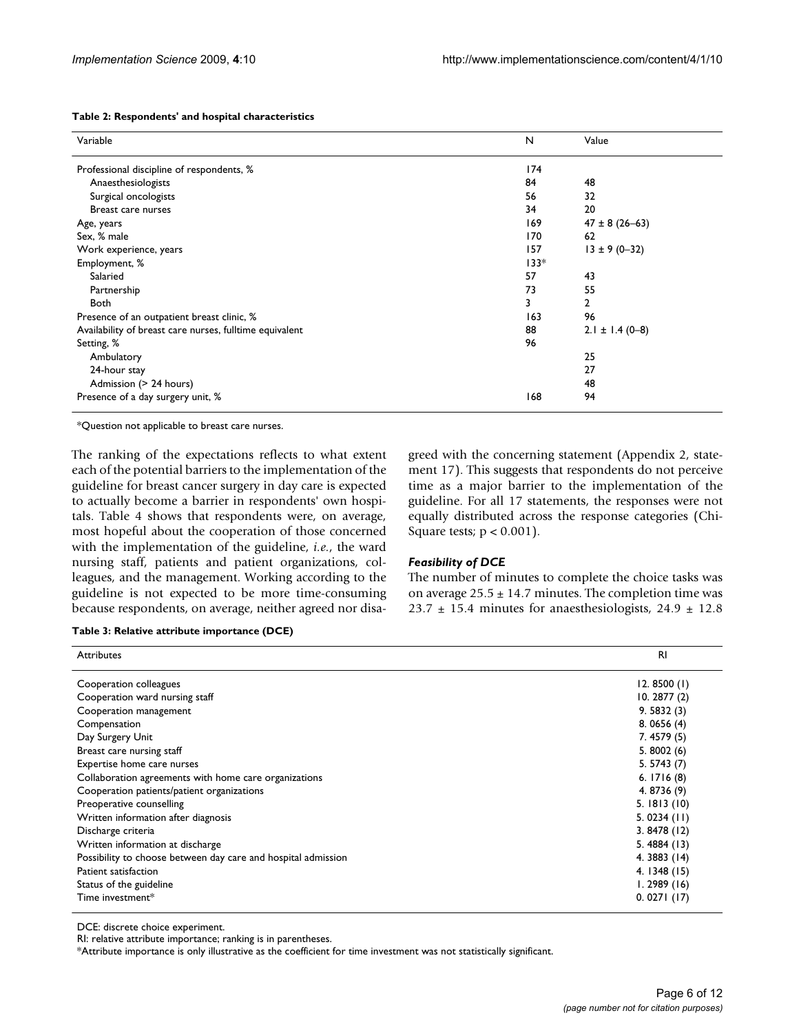| Variable                                                | N      | Value               |
|---------------------------------------------------------|--------|---------------------|
| Professional discipline of respondents, %               | 174    |                     |
| Anaesthesiologists                                      | 84     | 48                  |
| Surgical oncologists                                    | 56     | 32                  |
| Breast care nurses                                      | 34     | 20                  |
| Age, years                                              | 169    | $47 \pm 8(26 - 63)$ |
| Sex, % male                                             | 170    | 62                  |
| Work experience, years                                  | 157    | $13 \pm 9 (0 - 32)$ |
| Employment, %                                           | $133*$ |                     |
| Salaried                                                | 57     | 43                  |
| Partnership                                             | 73     | 55                  |
| <b>Both</b>                                             | 3      | 2                   |
| Presence of an outpatient breast clinic, %              | 163    | 96                  |
| Availability of breast care nurses, fulltime equivalent | 88     | $2.1 \pm 1.4$ (0-8) |
| Setting, %                                              | 96     |                     |
| Ambulatory                                              |        | 25                  |
| 24-hour stay                                            |        | 27                  |
| Admission (> 24 hours)                                  |        | 48                  |
| Presence of a day surgery unit, %                       | 168    | 94                  |

\*Question not applicable to breast care nurses.

The ranking of the expectations reflects to what extent each of the potential barriers to the implementation of the guideline for breast cancer surgery in day care is expected to actually become a barrier in respondents' own hospitals. Table 4 shows that respondents were, on average, most hopeful about the cooperation of those concerned with the implementation of the guideline, *i.e.*, the ward nursing staff, patients and patient organizations, colleagues, and the management. Working according to the guideline is not expected to be more time-consuming because respondents, on average, neither agreed nor disa-

**Table 3: Relative attribute importance (DCE)**

greed with the concerning statement (Appendix 2, statement 17). This suggests that respondents do not perceive time as a major barrier to the implementation of the guideline. For all 17 statements, the responses were not equally distributed across the response categories (Chi-Square tests;  $p < 0.001$ ).

#### *Feasibility of DCE*

The number of minutes to complete the choice tasks was on average  $25.5 \pm 14.7$  minutes. The completion time was 23.7  $\pm$  15.4 minutes for anaesthesiologists, 24.9  $\pm$  12.8

| <b>Attributes</b>                                             | <b>RI</b>     |
|---------------------------------------------------------------|---------------|
| Cooperation colleagues                                        | 12.8500(1)    |
| Cooperation ward nursing staff                                | 10.2877(2)    |
| Cooperation management                                        | 9.5832(3)     |
| Compensation                                                  | 8.0656(4)     |
| Day Surgery Unit                                              | 7.4579(5)     |
| Breast care nursing staff                                     | 5.8002(6)     |
| Expertise home care nurses                                    | 5.5743(7)     |
| Collaboration agreements with home care organizations         | 6.1716(8)     |
| Cooperation patients/patient organizations                    | 4.8736 (9)    |
| Preoperative counselling                                      | 5.1813(10)    |
| Written information after diagnosis                           | 5.0234 $(11)$ |
| Discharge criteria                                            | 3.8478(12)    |
| Written information at discharge                              | 5.4884(13)    |
| Possibility to choose between day care and hospital admission | 4.3883 (14)   |
| Patient satisfaction                                          | 4.1348(15)    |
| Status of the guideline                                       | 1.2989(16)    |
| Time investment*                                              | 0.0271(17)    |

DCE: discrete choice experiment.

RI: relative attribute importance; ranking is in parentheses.

\*Attribute importance is only illustrative as the coefficient for time investment was not statistically significant.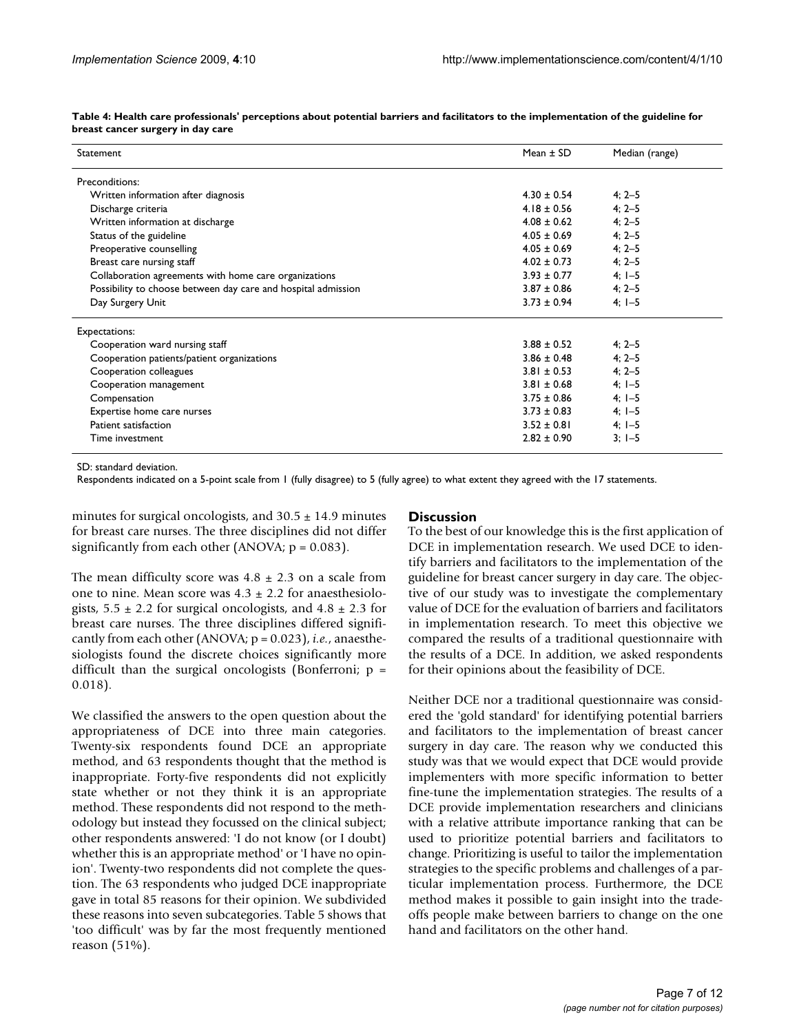| Statement                                                     | Mean $\pm$ SD   | Median (range) |
|---------------------------------------------------------------|-----------------|----------------|
| Preconditions:                                                |                 |                |
| Written information after diagnosis                           | $4.30 + 0.54$   | $4:2-5$        |
| Discharge criteria                                            | $4.18 \pm 0.56$ | $4:2-5$        |
| Written information at discharge                              | $4.08 \pm 0.62$ | $4:2-5$        |
| Status of the guideline                                       | $4.05 \pm 0.69$ | $4:2-5$        |
| Preoperative counselling                                      | $4.05 \pm 0.69$ | $4:2-5$        |
| Breast care nursing staff                                     | $4.02 \pm 0.73$ | $4:2-5$        |
| Collaboration agreements with home care organizations         | $3.93 \pm 0.77$ | $4: 1 - 5$     |
| Possibility to choose between day care and hospital admission | $3.87 \pm 0.86$ | $4:2-5$        |
| Day Surgery Unit                                              | $3.73 \pm 0.94$ | $4; 1 - 5$     |
| Expectations:                                                 |                 |                |
| Cooperation ward nursing staff                                | $3.88 \pm 0.52$ | $4:2-5$        |
| Cooperation patients/patient organizations                    | $3.86 \pm 0.48$ | $4:2-5$        |
| Cooperation colleagues                                        | $3.81 \pm 0.53$ | $4:2-5$        |
| Cooperation management                                        | $3.81 \pm 0.68$ | $4: 1 - 5$     |
| Compensation                                                  | $3.75 \pm 0.86$ | $4; 1 - 5$     |
| Expertise home care nurses                                    | $3.73 \pm 0.83$ | $4: 1 - 5$     |
| Patient satisfaction                                          | $3.52 \pm 0.81$ | $4; 1 - 5$     |
| Time investment                                               | $2.82 \pm 0.90$ | $3; 1 - 5$     |

**Table 4: Health care professionals' perceptions about potential barriers and facilitators to the implementation of the guideline for breast cancer surgery in day care**

SD: standard deviation.

Respondents indicated on a 5-point scale from 1 (fully disagree) to 5 (fully agree) to what extent they agreed with the 17 statements.

minutes for surgical oncologists, and  $30.5 \pm 14.9$  minutes for breast care nurses. The three disciplines did not differ significantly from each other (ANOVA;  $p = 0.083$ ).

The mean difficulty score was  $4.8 \pm 2.3$  on a scale from one to nine. Mean score was  $4.3 \pm 2.2$  for anaesthesiologists,  $5.5 \pm 2.2$  for surgical oncologists, and  $4.8 \pm 2.3$  for breast care nurses. The three disciplines differed significantly from each other (ANOVA; p = 0.023), *i.e.*, anaesthesiologists found the discrete choices significantly more difficult than the surgical oncologists (Bonferroni;  $p =$ 0.018).

We classified the answers to the open question about the appropriateness of DCE into three main categories. Twenty-six respondents found DCE an appropriate method, and 63 respondents thought that the method is inappropriate. Forty-five respondents did not explicitly state whether or not they think it is an appropriate method. These respondents did not respond to the methodology but instead they focussed on the clinical subject; other respondents answered: 'I do not know (or I doubt) whether this is an appropriate method' or 'I have no opinion'. Twenty-two respondents did not complete the question. The 63 respondents who judged DCE inappropriate gave in total 85 reasons for their opinion. We subdivided these reasons into seven subcategories. Table 5 shows that 'too difficult' was by far the most frequently mentioned reason (51%).

#### **Discussion**

To the best of our knowledge this is the first application of DCE in implementation research. We used DCE to identify barriers and facilitators to the implementation of the guideline for breast cancer surgery in day care. The objective of our study was to investigate the complementary value of DCE for the evaluation of barriers and facilitators in implementation research. To meet this objective we compared the results of a traditional questionnaire with the results of a DCE. In addition, we asked respondents for their opinions about the feasibility of DCE.

Neither DCE nor a traditional questionnaire was considered the 'gold standard' for identifying potential barriers and facilitators to the implementation of breast cancer surgery in day care. The reason why we conducted this study was that we would expect that DCE would provide implementers with more specific information to better fine-tune the implementation strategies. The results of a DCE provide implementation researchers and clinicians with a relative attribute importance ranking that can be used to prioritize potential barriers and facilitators to change. Prioritizing is useful to tailor the implementation strategies to the specific problems and challenges of a particular implementation process. Furthermore, the DCE method makes it possible to gain insight into the tradeoffs people make between barriers to change on the one hand and facilitators on the other hand.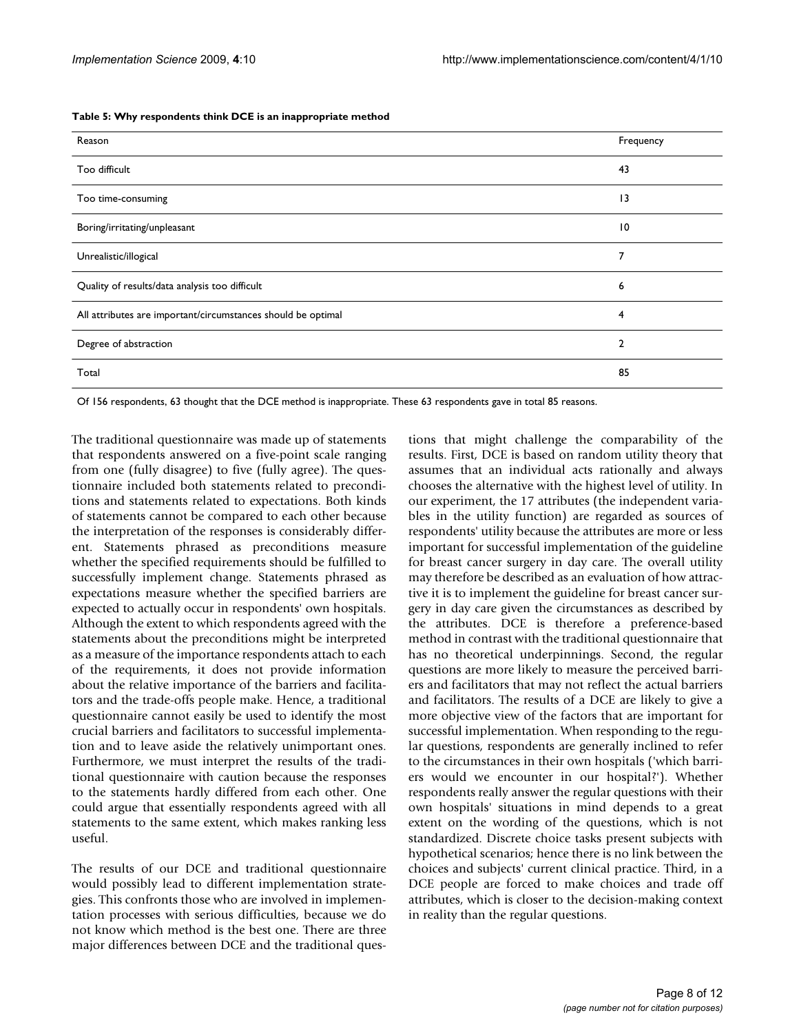| Reason                                                       | Frequency       |
|--------------------------------------------------------------|-----------------|
| Too difficult                                                | 43              |
| Too time-consuming                                           | $\overline{13}$ |
| Boring/irritating/unpleasant                                 | $\overline{10}$ |
| Unrealistic/illogical                                        | 7               |
| Quality of results/data analysis too difficult               | 6               |
| All attributes are important/circumstances should be optimal | 4               |
| Degree of abstraction                                        | $\overline{2}$  |
| Total                                                        | 85              |

#### **Table 5: Why respondents think DCE is an inappropriate method**

Of 156 respondents, 63 thought that the DCE method is inappropriate. These 63 respondents gave in total 85 reasons.

The traditional questionnaire was made up of statements that respondents answered on a five-point scale ranging from one (fully disagree) to five (fully agree). The questionnaire included both statements related to preconditions and statements related to expectations. Both kinds of statements cannot be compared to each other because the interpretation of the responses is considerably different. Statements phrased as preconditions measure whether the specified requirements should be fulfilled to successfully implement change. Statements phrased as expectations measure whether the specified barriers are expected to actually occur in respondents' own hospitals. Although the extent to which respondents agreed with the statements about the preconditions might be interpreted as a measure of the importance respondents attach to each of the requirements, it does not provide information about the relative importance of the barriers and facilitators and the trade-offs people make. Hence, a traditional questionnaire cannot easily be used to identify the most crucial barriers and facilitators to successful implementation and to leave aside the relatively unimportant ones. Furthermore, we must interpret the results of the traditional questionnaire with caution because the responses to the statements hardly differed from each other. One could argue that essentially respondents agreed with all statements to the same extent, which makes ranking less useful.

The results of our DCE and traditional questionnaire would possibly lead to different implementation strategies. This confronts those who are involved in implementation processes with serious difficulties, because we do not know which method is the best one. There are three major differences between DCE and the traditional questions that might challenge the comparability of the results. First, DCE is based on random utility theory that assumes that an individual acts rationally and always chooses the alternative with the highest level of utility. In our experiment, the 17 attributes (the independent variables in the utility function) are regarded as sources of respondents' utility because the attributes are more or less important for successful implementation of the guideline for breast cancer surgery in day care. The overall utility may therefore be described as an evaluation of how attractive it is to implement the guideline for breast cancer surgery in day care given the circumstances as described by the attributes. DCE is therefore a preference-based method in contrast with the traditional questionnaire that has no theoretical underpinnings. Second, the regular questions are more likely to measure the perceived barriers and facilitators that may not reflect the actual barriers and facilitators. The results of a DCE are likely to give a more objective view of the factors that are important for successful implementation. When responding to the regular questions, respondents are generally inclined to refer to the circumstances in their own hospitals ('which barriers would we encounter in our hospital?'). Whether respondents really answer the regular questions with their own hospitals' situations in mind depends to a great extent on the wording of the questions, which is not standardized. Discrete choice tasks present subjects with hypothetical scenarios; hence there is no link between the choices and subjects' current clinical practice. Third, in a DCE people are forced to make choices and trade off attributes, which is closer to the decision-making context in reality than the regular questions.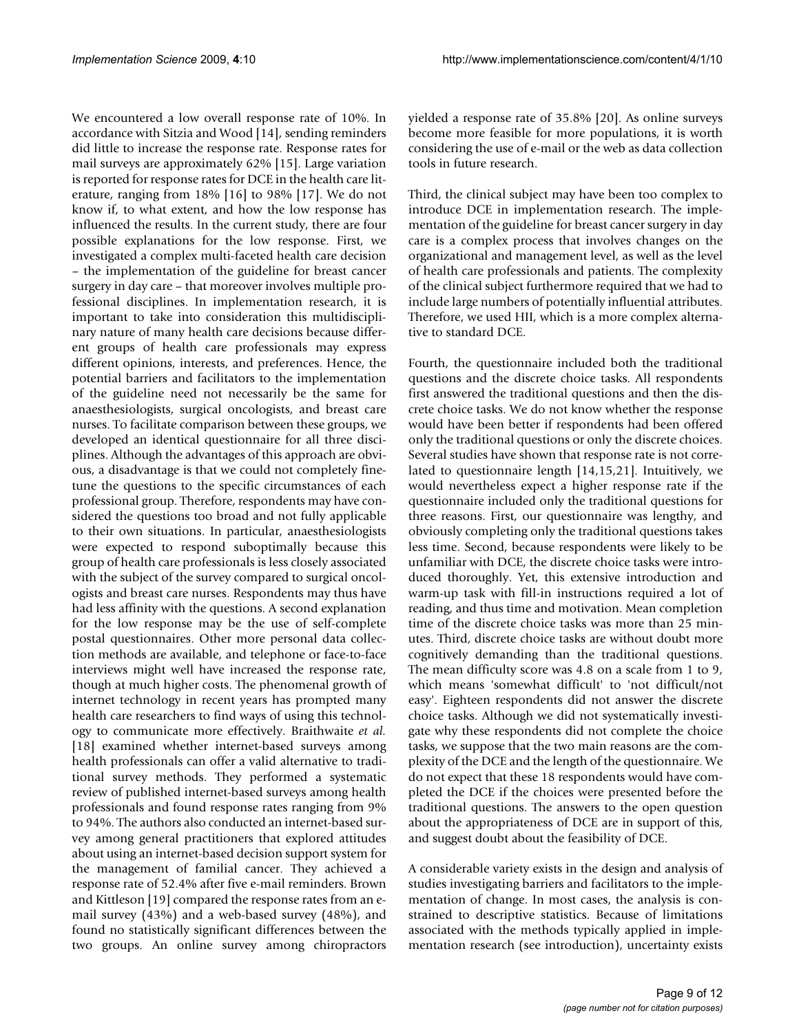We encountered a low overall response rate of 10%. In accordance with Sitzia and Wood [14], sending reminders did little to increase the response rate. Response rates for mail surveys are approximately 62% [15]. Large variation is reported for response rates for DCE in the health care literature, ranging from 18% [16] to 98% [17]. We do not know if, to what extent, and how the low response has influenced the results. In the current study, there are four possible explanations for the low response. First, we investigated a complex multi-faceted health care decision – the implementation of the guideline for breast cancer surgery in day care – that moreover involves multiple professional disciplines. In implementation research, it is important to take into consideration this multidisciplinary nature of many health care decisions because different groups of health care professionals may express different opinions, interests, and preferences. Hence, the potential barriers and facilitators to the implementation of the guideline need not necessarily be the same for anaesthesiologists, surgical oncologists, and breast care nurses. To facilitate comparison between these groups, we developed an identical questionnaire for all three disciplines. Although the advantages of this approach are obvious, a disadvantage is that we could not completely finetune the questions to the specific circumstances of each professional group. Therefore, respondents may have considered the questions too broad and not fully applicable to their own situations. In particular, anaesthesiologists were expected to respond suboptimally because this group of health care professionals is less closely associated with the subject of the survey compared to surgical oncologists and breast care nurses. Respondents may thus have had less affinity with the questions. A second explanation for the low response may be the use of self-complete postal questionnaires. Other more personal data collection methods are available, and telephone or face-to-face interviews might well have increased the response rate, though at much higher costs. The phenomenal growth of internet technology in recent years has prompted many health care researchers to find ways of using this technology to communicate more effectively. Braithwaite *et al.* [18] examined whether internet-based surveys among health professionals can offer a valid alternative to traditional survey methods. They performed a systematic review of published internet-based surveys among health professionals and found response rates ranging from 9% to 94%. The authors also conducted an internet-based survey among general practitioners that explored attitudes about using an internet-based decision support system for the management of familial cancer. They achieved a response rate of 52.4% after five e-mail reminders. Brown and Kittleson [19] compared the response rates from an email survey (43%) and a web-based survey (48%), and found no statistically significant differences between the two groups. An online survey among chiropractors

yielded a response rate of 35.8% [20]. As online surveys become more feasible for more populations, it is worth considering the use of e-mail or the web as data collection tools in future research.

Third, the clinical subject may have been too complex to introduce DCE in implementation research. The implementation of the guideline for breast cancer surgery in day care is a complex process that involves changes on the organizational and management level, as well as the level of health care professionals and patients. The complexity of the clinical subject furthermore required that we had to include large numbers of potentially influential attributes. Therefore, we used HII, which is a more complex alternative to standard DCE.

Fourth, the questionnaire included both the traditional questions and the discrete choice tasks. All respondents first answered the traditional questions and then the discrete choice tasks. We do not know whether the response would have been better if respondents had been offered only the traditional questions or only the discrete choices. Several studies have shown that response rate is not correlated to questionnaire length [14,15,21]. Intuitively, we would nevertheless expect a higher response rate if the questionnaire included only the traditional questions for three reasons. First, our questionnaire was lengthy, and obviously completing only the traditional questions takes less time. Second, because respondents were likely to be unfamiliar with DCE, the discrete choice tasks were introduced thoroughly. Yet, this extensive introduction and warm-up task with fill-in instructions required a lot of reading, and thus time and motivation. Mean completion time of the discrete choice tasks was more than 25 minutes. Third, discrete choice tasks are without doubt more cognitively demanding than the traditional questions. The mean difficulty score was 4.8 on a scale from 1 to 9, which means 'somewhat difficult' to 'not difficult/not easy'. Eighteen respondents did not answer the discrete choice tasks. Although we did not systematically investigate why these respondents did not complete the choice tasks, we suppose that the two main reasons are the complexity of the DCE and the length of the questionnaire. We do not expect that these 18 respondents would have completed the DCE if the choices were presented before the traditional questions. The answers to the open question about the appropriateness of DCE are in support of this, and suggest doubt about the feasibility of DCE.

A considerable variety exists in the design and analysis of studies investigating barriers and facilitators to the implementation of change. In most cases, the analysis is constrained to descriptive statistics. Because of limitations associated with the methods typically applied in implementation research (see introduction), uncertainty exists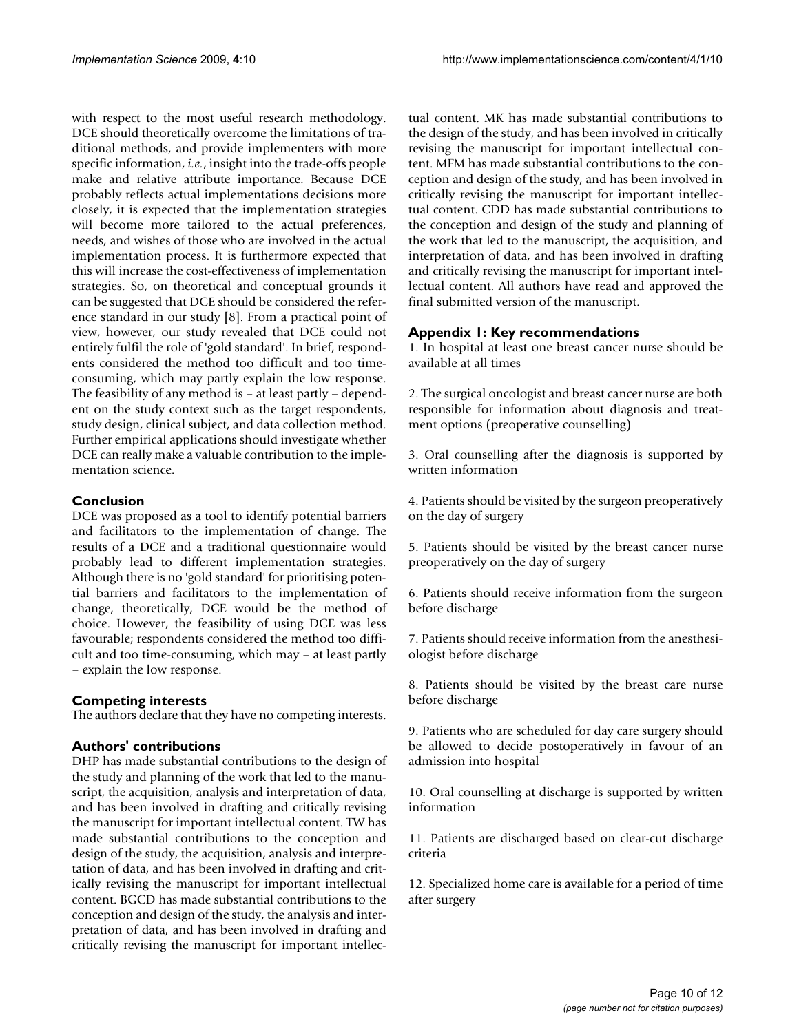with respect to the most useful research methodology. DCE should theoretically overcome the limitations of traditional methods, and provide implementers with more specific information, *i.e.*, insight into the trade-offs people make and relative attribute importance. Because DCE probably reflects actual implementations decisions more closely, it is expected that the implementation strategies will become more tailored to the actual preferences, needs, and wishes of those who are involved in the actual implementation process. It is furthermore expected that this will increase the cost-effectiveness of implementation strategies. So, on theoretical and conceptual grounds it can be suggested that DCE should be considered the reference standard in our study [8]. From a practical point of view, however, our study revealed that DCE could not entirely fulfil the role of 'gold standard'. In brief, respondents considered the method too difficult and too timeconsuming, which may partly explain the low response. The feasibility of any method is – at least partly – dependent on the study context such as the target respondents, study design, clinical subject, and data collection method. Further empirical applications should investigate whether DCE can really make a valuable contribution to the implementation science.

## **Conclusion**

DCE was proposed as a tool to identify potential barriers and facilitators to the implementation of change. The results of a DCE and a traditional questionnaire would probably lead to different implementation strategies. Although there is no 'gold standard' for prioritising potential barriers and facilitators to the implementation of change, theoretically, DCE would be the method of choice. However, the feasibility of using DCE was less favourable; respondents considered the method too difficult and too time-consuming, which may – at least partly – explain the low response.

## **Competing interests**

The authors declare that they have no competing interests.

## **Authors' contributions**

DHP has made substantial contributions to the design of the study and planning of the work that led to the manuscript, the acquisition, analysis and interpretation of data, and has been involved in drafting and critically revising the manuscript for important intellectual content. TW has made substantial contributions to the conception and design of the study, the acquisition, analysis and interpretation of data, and has been involved in drafting and critically revising the manuscript for important intellectual content. BGCD has made substantial contributions to the conception and design of the study, the analysis and interpretation of data, and has been involved in drafting and critically revising the manuscript for important intellectual content. MK has made substantial contributions to the design of the study, and has been involved in critically revising the manuscript for important intellectual content. MFM has made substantial contributions to the conception and design of the study, and has been involved in critically revising the manuscript for important intellectual content. CDD has made substantial contributions to the conception and design of the study and planning of the work that led to the manuscript, the acquisition, and interpretation of data, and has been involved in drafting and critically revising the manuscript for important intellectual content. All authors have read and approved the final submitted version of the manuscript.

## **Appendix 1: Key recommendations**

1. In hospital at least one breast cancer nurse should be available at all times

2. The surgical oncologist and breast cancer nurse are both responsible for information about diagnosis and treatment options (preoperative counselling)

3. Oral counselling after the diagnosis is supported by written information

4. Patients should be visited by the surgeon preoperatively on the day of surgery

5. Patients should be visited by the breast cancer nurse preoperatively on the day of surgery

6. Patients should receive information from the surgeon before discharge

7. Patients should receive information from the anesthesiologist before discharge

8. Patients should be visited by the breast care nurse before discharge

9. Patients who are scheduled for day care surgery should be allowed to decide postoperatively in favour of an admission into hospital

10. Oral counselling at discharge is supported by written information

11. Patients are discharged based on clear-cut discharge criteria

12. Specialized home care is available for a period of time after surgery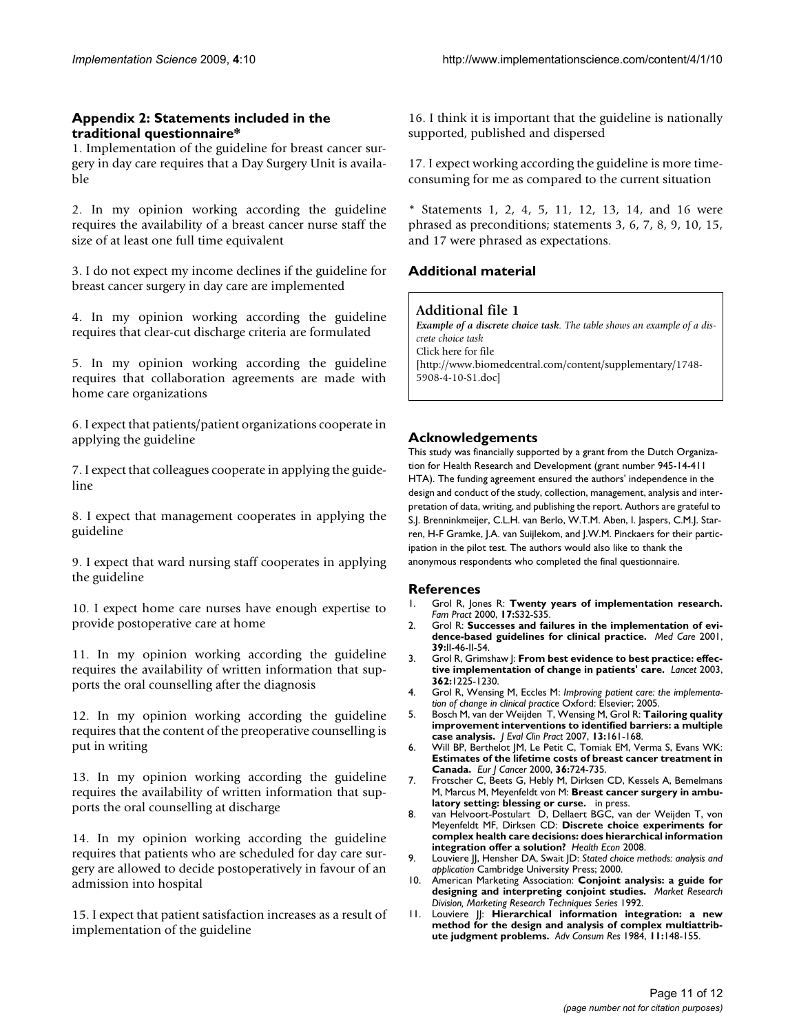## **Appendix 2: Statements included in the traditional questionnaire\***

1. Implementation of the guideline for breast cancer surgery in day care requires that a Day Surgery Unit is available

2. In my opinion working according the guideline requires the availability of a breast cancer nurse staff the size of at least one full time equivalent

3. I do not expect my income declines if the guideline for breast cancer surgery in day care are implemented

4. In my opinion working according the guideline requires that clear-cut discharge criteria are formulated

5. In my opinion working according the guideline requires that collaboration agreements are made with home care organizations

6. I expect that patients/patient organizations cooperate in applying the guideline

7. I expect that colleagues cooperate in applying the guideline

8. I expect that management cooperates in applying the guideline

9. I expect that ward nursing staff cooperates in applying the guideline

10. I expect home care nurses have enough expertise to provide postoperative care at home

11. In my opinion working according the guideline requires the availability of written information that supports the oral counselling after the diagnosis

12. In my opinion working according the guideline requires that the content of the preoperative counselling is put in writing

13. In my opinion working according the guideline requires the availability of written information that supports the oral counselling at discharge

14. In my opinion working according the guideline requires that patients who are scheduled for day care surgery are allowed to decide postoperatively in favour of an admission into hospital

15. I expect that patient satisfaction increases as a result of implementation of the guideline

16. I think it is important that the guideline is nationally supported, published and dispersed

17. I expect working according the guideline is more timeconsuming for me as compared to the current situation

\* Statements 1, 2, 4, 5, 11, 12, 13, 14, and 16 were phrased as preconditions; statements 3, 6, 7, 8, 9, 10, 15, and 17 were phrased as expectations.

## **Additional material**

## **Additional file 1**

5908-4-10-S1.doc]

*Example of a discrete choice task. The table shows an example of a discrete choice task* Click here for file [\[http://www.biomedcentral.com/content/supplementary/1748-](http://www.biomedcentral.com/content/supplementary/1748-5908-4-10-S1.doc)

**Acknowledgements** This study was financially supported by a grant from the Dutch Organization for Health Research and Development (grant number 945-14-411 HTA). The funding agreement ensured the authors' independence in the design and conduct of the study, collection, management, analysis and interpretation of data, writing, and publishing the report. Authors are grateful to S.J. Brenninkmeijer, C.L.H. van Berlo, W.T.M. Aben, I. Jaspers, C.M.J. Starren, H-F Gramke, J.A. van Suijlekom, and J.W.M. Pinckaers for their participation in the pilot test. The authors would also like to thank the anonymous respondents who completed the final questionnaire.

### **References**

- 1. Grol R, Jones R: **[Twenty years of implementation research.](http://www.ncbi.nlm.nih.gov/entrez/query.fcgi?cmd=Retrieve&db=PubMed&dopt=Abstract&list_uids=10735266)** *Fam Pract* 2000, **17:**S32-S35.
- 2. Grol R: **Successes and failures in the implementation of evidence-based guidelines for clinical practice.** *Med Care* 2001, **39:**II-46-II-54.
- 3. Grol R, Grimshaw J: **[From best evidence to best practice: effec](http://www.ncbi.nlm.nih.gov/entrez/query.fcgi?cmd=Retrieve&db=PubMed&dopt=Abstract&list_uids=14568747)[tive implementation of change in patients' care.](http://www.ncbi.nlm.nih.gov/entrez/query.fcgi?cmd=Retrieve&db=PubMed&dopt=Abstract&list_uids=14568747)** *Lancet* 2003, **362:**1225-1230.
- 4. Grol R, Wensing M, Eccles M: *Improving patient care: the implementation of change in clinical practice* Oxford: Elsevier; 2005.
- 5. Bosch M, van der Weijden T, Wensing M, Grol R: **[Tailoring quality](http://www.ncbi.nlm.nih.gov/entrez/query.fcgi?cmd=Retrieve&db=PubMed&dopt=Abstract&list_uids=17378860) [improvement interventions to identified barriers: a multiple](http://www.ncbi.nlm.nih.gov/entrez/query.fcgi?cmd=Retrieve&db=PubMed&dopt=Abstract&list_uids=17378860) [case analysis.](http://www.ncbi.nlm.nih.gov/entrez/query.fcgi?cmd=Retrieve&db=PubMed&dopt=Abstract&list_uids=17378860)** *J Eval Clin Pract* 2007, **13:**161-168.
- 6. Will BP, Berthelot JM, Le Petit C, Tomiak EM, Verma S, Evans WK: **[Estimates of the lifetime costs of breast cancer treatment in](http://www.ncbi.nlm.nih.gov/entrez/query.fcgi?cmd=Retrieve&db=PubMed&dopt=Abstract&list_uids=10762744) [Canada.](http://www.ncbi.nlm.nih.gov/entrez/query.fcgi?cmd=Retrieve&db=PubMed&dopt=Abstract&list_uids=10762744)** *Eur J Cancer* 2000, **36:**724-735.
- 7. Frotscher C, Beets G, Hebly M, Dirksen CD, Kessels A, Bemelmans M, Marcus M, Meyenfeldt von M: **Breast cancer surgery in ambulatory setting: blessing or curse.** in press.
- 8. van Helvoort-Postulart D, Dellaert BGC, van der Weijden T, von Meyenfeldt MF, Dirksen CD: **[Discrete choice experiments for](http://www.ncbi.nlm.nih.gov/entrez/query.fcgi?cmd=Retrieve&db=PubMed&dopt=Abstract&list_uids=18973148) [complex health care decisions: does hierarchical information](http://www.ncbi.nlm.nih.gov/entrez/query.fcgi?cmd=Retrieve&db=PubMed&dopt=Abstract&list_uids=18973148) [integration offer a solution?](http://www.ncbi.nlm.nih.gov/entrez/query.fcgi?cmd=Retrieve&db=PubMed&dopt=Abstract&list_uids=18973148)** *Health Econ* 2008.
- 9. Louviere JJ, Hensher DA, Swait JD: *Stated choice methods: analysis and application* Cambridge University Press; 2000.
- 10. American Marketing Association: **Conjoint analysis: a guide for designing and interpreting conjoint studies.** *Market Research Division, Marketing Research Techniques Series* 1992.
- 11. Louviere JJ: **Hierarchical information integration: a new method for the design and analysis of complex multiattribute judgment problems.** *Adv Consum Res* 1984, **11:**148-155.